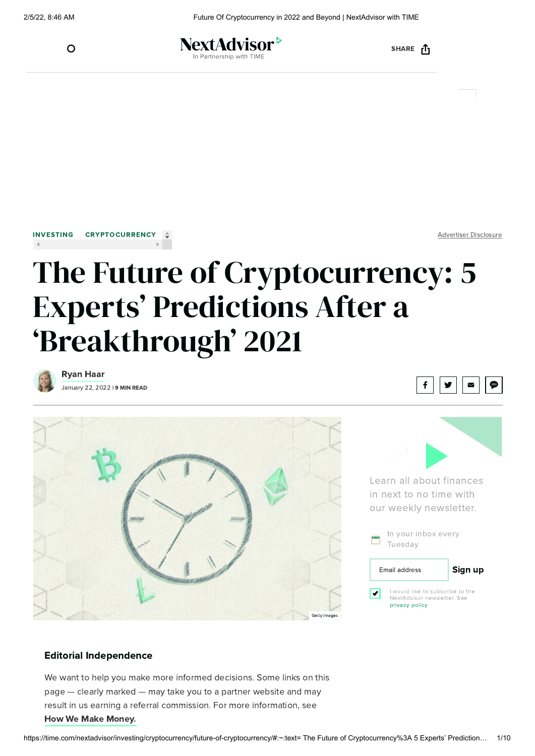

NextAdvisor<sup>></sup> Partnership with TIMI

SHARE <sub>[1</sub>



Advertiser Disclosure

# The Future of Cryptocurrency: 5 Experts' Predictions After a 'Breakthrough' 2021



January 22, 2022 | 9 MIN READ [Ryan](https://time.com/nextadvisor/authors/ryan-haar/) Haar









### Editorial Independence

We want to help you make more informed decisions. Some links on this page — clearly marked — may take you to a partner website and may result in us earning a referral commission. For more information, see How We Make [Money.](https://time.com/nextadvisor/about-us/#makemoney)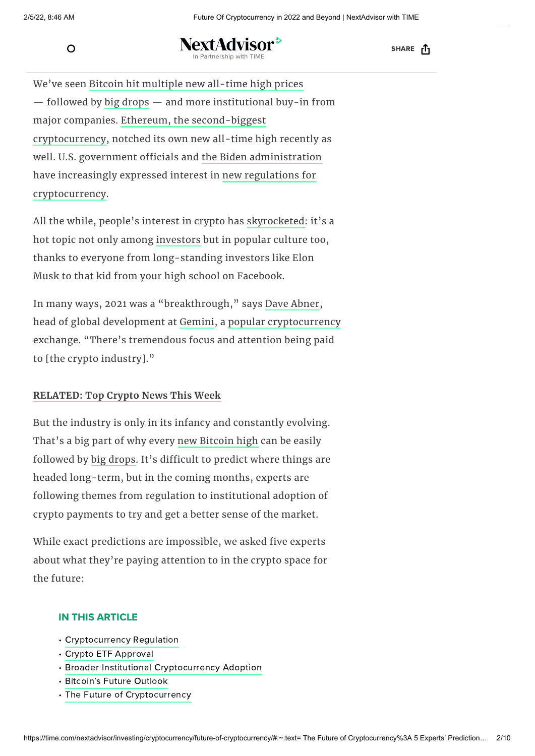

NextAdvisor<sup>></sup> In Partnership with TIME **SHARE** [ACADEMY](https://googleads.g.doubleclick.net/aclk?sa=l&ai=C0PZxOun9YbzXDYeVwgPx77SQD--8xPNn-eq03foO2tkeEAEg97vHgwFg5cLkg6QOoAG4iPqqKMgBBuACAKgDAcgDCqoEjgJP0OmuBaOsbbyAjtJ0SE737yg4V7yZ86EJvKibPBgpvgDOr24pnNDU5C5O65U3eypE5qEEmP6uJnoPjEAN3mg5R907-p10zvK9vBXbH14vUCeZs_jRnPh5VR3HQn_sghi4oXiAzD4Z08pRhCLSg1Pb9HbnY2uNoHYMiRDu57ykPSaKAqA7Xc4YHiElPEl79BVJUTP7GpVpDwCxdZeu_1szOgs2GdlJgyp8jRcHJguJrHEB9IDrP5DAET9Xe-dc-NDfStZ1OW7-J5WMyHkzAElQ70svz1Vp49wF8x487HOBMiHqJX6QdWYOPk0Mvi_vbjaH18GAj38ScubpmMNoPpGRZGP03wIy_-URRsJTYpPABMSlmu3_A-AEAaAGLoAHuMDKigOoB47OG6gHk9gbqAfulrECqAf-nrECqAfVyRuoB6a-G6gH89EbqAeW2BuoB6qbsQKoB9-fsQLYBwHSCAcIiGEQARgdsQlK4nY3sO9Me4AKA5gLAcgLAbgMAbgTnSfYEw2IFAbQFQGYFgGAFwE&ae=1&num=1&sig=AOD64_27jenMz6DbeBLO3oFZ_ji3F3BaWw&client=ca-pub-8820362605711196&nb=1&adurl=https://academy.binance.com/en/start-here%3Futm_campaign%3Dgoogleadsxacademy%26utm_source%3Dgoogleads%26utm_medium%3Dcpc%26gclid%3DEAIaIQobChMIvNySgMrn9QIVh4pwCh3xNw3yEAEYASAAEgJgvvD_BwE)

We've seen Bitcoin hit [multiple](https://time.com/nextadvisor/investing/cryptocurrency/bitcoin-price-predictions/) new all-time high prices — followed by big [drops](https://time.com/nextadvisor/investing/cryptocurrency/bitcoin-crash-continues/) — and more institutional buy-in from major companies. Ethereum, the second-biggest [cryptocurrency,](https://time.com/nextadvisor/investing/cryptocurrency/ethereum-hits-new-all-time-high-price/) notched its own new all-time high recently as well. U.S. government officials and the Biden [administration](https://time.com/nextadvisor/investing/cryptocurrency/infrastructure-bill-crypto-taxes/) have increasingly expressed interest in new regulations for [cryptocurrency.](https://time.com/nextadvisor/investing/cryptocurrency/crypto-regulation-talks-heat-up/)

All the while, people's interest in crypto has [skyrocketed](https://time.com/nextadvisor/investing/cryptocurrency/most-googled-crypto-questions-answered/): it's a hot topic not only among [investors](https://time.com/nextadvisor/investing/how-to-start-investing/) but in popular culture too, thanks to everyone from long-standing investors like Elon Musk to that kid from your high school on Facebook.

In many ways, 2021 was a "breakthrough," says Dave [Abner,](https://www.linkedin.com/in/daveabner/) head of global development at [Gemini,](https://time.com/nextadvisor/investing/cryptocurrency/gemini-review/) a popular [cryptocurrency](https://time.com/nextadvisor/investing/cryptocurrency/types-of-cryptocurrency/) exchange. "There's tremendous focus and attention being paid to [the crypto industry]."

### **[RELATED:](https://time.com/nextadvisor/investing/cryptocurrency/latest-crypto-news/) Top Crypto News This Week**

But the industry is only in its infancy and constantly evolving. That's a big part of why every new [Bitcoin](https://time.com/nextadvisor/investing/cryptocurrency/bitcoin-price-increases/) high can be easily followed by big [drops](https://time.com/nextadvisor/investing/cryptocurrency/bitcoin-crash-continues/). It's difficult to predict where things are headed long-term, but in the coming months, experts are following themes from regulation to institutional adoption of crypto payments to try and get a better sense of the market.

While exact predictions are impossible, we asked five experts about what they're paying attention to in the crypto space for the future:

#### IN THIS ARTICLE

- [Cryptocurrency](https://live-time-integration.pantheonsite.io/wp-admin/post.php?post=26929&action=edit#regulation) Regulation
- Crypto ETF [Approval](https://live-time-integration.pantheonsite.io/wp-admin/post.php?post=26929&action=edit#etf)
- Broader Institutional [Cryptocurrency](https://live-time-integration.pantheonsite.io/wp-admin/post.php?post=26929&action=edit#adoption) Adoption
- [Bitcoin's](https://live-time-integration.pantheonsite.io/wp-admin/post.php?post=26929&action=edit#bitcoin) Future Outlook
- The Future of [Cryptocurrency](https://live-time-integration.pantheonsite.io/wp-admin/post.php?post=26929&action=edit#future)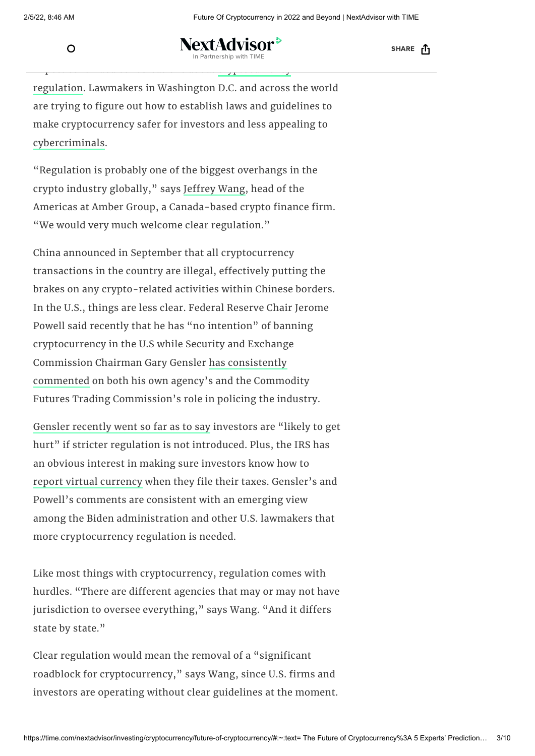

o **NextAdvisor** artnership with TIM

SHARE <sub>[1</sub>

regulation. Lawmakers in Washington D.C. and across the world are trying to figure out how to establish laws and guidelines to make cryptocurrency safer for investors and less appealing to [cybercriminals.](https://time.com/nextadvisor/investing/cryptocurrency/poly-network-hack/)

Expect continued conversations about [cryptocurrency](https://time.com/nextadvisor/investing/cryptocurrency/crypto-regulation-talks-heat-up/)

"Regulation is probably one of the biggest overhangs in the crypto industry globally," says [Jeffrey](https://www.linkedin.com/in/jeffrey-wang-00804612a/?originalSubdomain=ca) Wang, head of the Americas at Amber Group, a Canada-based crypto finance firm. "We would very much welcome clear regulation."

China announced in September that all cryptocurrency transactions in the country are illegal, effectively putting the brakes on any crypto-related activities within Chinese borders. In the U.S., things are less clear. Federal Reserve Chair Jerome Powell said recently that he has "no intention" of banning cryptocurrency in the U.S while Security and Exchange [Commission](https://www.sec.gov/news/public-statement/gensler-aspen-security-forum-2021-08-03) Chairman Gary Gensler has consistently commented on both his own agency's and the Commodity Futures Trading Commission's role in policing the industry.

Gensler [recently](https://time.com/nextadvisor/investing/cryptocurrency/latest-crypto-news/) went so far as to say investors are "likely to get hurt" if stricter regulation is not introduced. Plus, the IRS has an obvious interest in making sure investors know how to report virtual [currency](https://time.com/nextadvisor/investing/cryptocurrency/cryptocurrency-tax-guide/) when they file their taxes. Gensler's and Powell's comments are consistent with an emerging view among the Biden administration and other U.S. lawmakers that more cryptocurrency regulation is needed.

Like most things with cryptocurrency, regulation comes with hurdles. "There are different agencies that may or may not have jurisdiction to oversee everything," says Wang. "And it differs state by state."

Clear regulation would mean the removal of a "significant roadblock for cryptocurrency," says Wang, since U.S. firms and investors are operating without clear guidelines at the moment.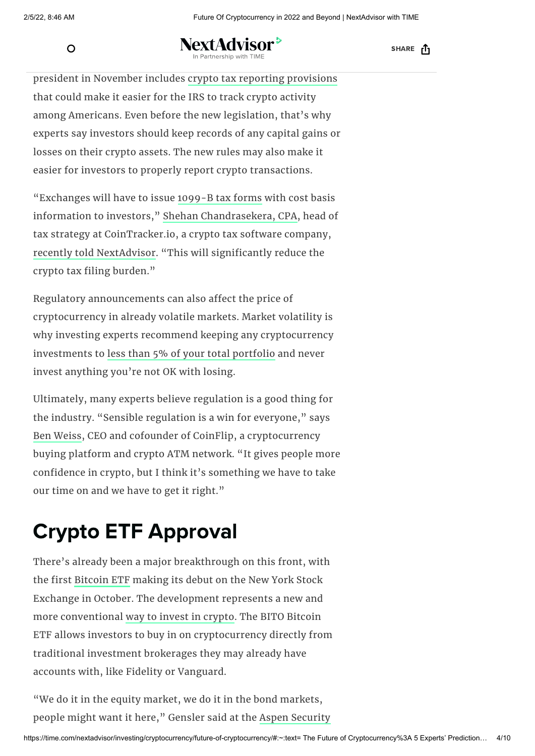$\Omega$ 

 $W_{\rm eff}$  is the could mean for investors of investors  $\mathcal{C}$  $T$  at the singe with the bipartial by the signed by the signed by the signed by the signed by the signed by the signed by the signed by the signed by the signed by the signed by the signed by the signed by the signed by

SHARE <sub>[1</sub>

president in November includes crypto tax reporting [provisions](https://time.com/nextadvisor/investing/cryptocurrency/infrastructure-bill-crypto-taxes/) that could make it easier for the IRS to track crypto activity among Americans. Even before the new legislation, that's why experts say investors should keep records of any capital gains or losses on their crypto assets. The new rules may also make it easier for investors to properly report crypto transactions.

"Exchanges will have to issue [1099-B](https://www.irs.gov/forms-pubs/about-form-1099-b) tax forms with cost basis information to investors," Shehan [Chandrasekera,](https://www.linkedin.com/in/shehanc) CPA, head of tax strategy at CoinTracker.io, a crypto tax software company, recently told [NextAdvisor.](https://time.com/nextadvisor/investing/cryptocurrency/crypto-regulation-talks-heat-up/) "This will significantly reduce the crypto tax filing burden."

Regulatory announcements can also affect the price of cryptocurrency in already volatile markets. Market volatility is why investing experts recommend keeping any cryptocurrency investments to less than 5% of your total [portfolio](https://time.com/nextadvisor/investing/cryptocurrency/how-much-your-portfolio-should-be-crypto/) and never invest anything you're not OK with losing.

Ultimately, many experts believe regulation is a good thing for the industry. "Sensible regulation is a win for everyone," says Ben [Weiss](https://www.linkedin.com/in/benweisscoinflip/), CEO and cofounder of CoinFlip, a cryptocurrency buying platform and crypto ATM network. "It gives people more confidence in crypto, but I think it's something we have to take our time on and we have to get it right."

## Crypto ETF Approval

There's already been a major breakthrough on this front, with the first [Bitcoin](https://time.com/nextadvisor/investing/cryptocurrency/bitcoin-etf-approved/) ETF making its debut on the New York Stock Exchange in October. The development represents a new and more conventional way to invest in [crypto.](https://time.com/nextadvisor/investing/cryptocurrency/how-to-invest-in-crypto-without-buying-any-crypto/) The BITO Bitcoin ETF allows investors to buy in on cryptocurrency directly from traditional investment brokerages they may already have accounts with, like Fidelity or Vanguard.

"We do it in the equity market, we do it in the bond markets, people might want it here," Gensler said at the Aspen [Security](https://www.aspensecurityforum.org/)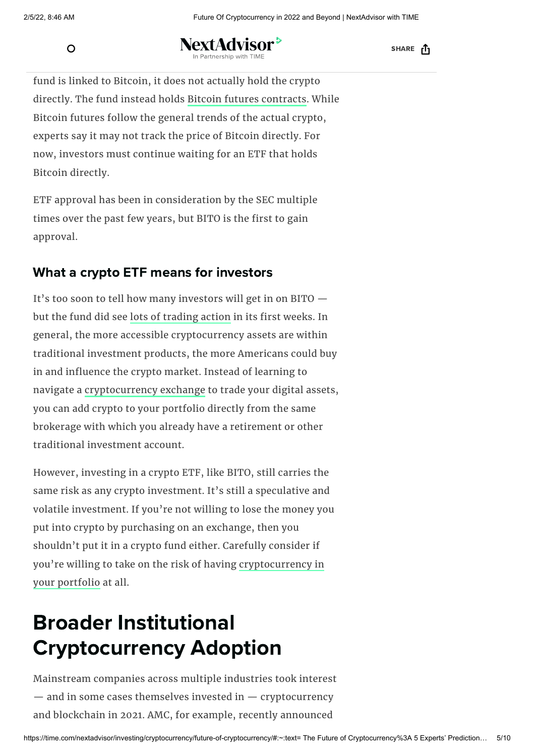$\Omega$ 

NextAdvisor<sup>></sup> But some say the BITO ETF is not [enough,](https://time.com/nextadvisor/) because while the

SHARE <sub>[1</sub>

fund is linked to Bitcoin, it does not actually hold the crypto directly. The fund instead holds Bitcoin futures [contracts](https://time.com/nextadvisor/investing/cryptocurrency/bitcoin-etf-approved/). While Bitcoin futures follow the general trends of the actual crypto, experts say it may not track the price of Bitcoin directly. For now, investors must continue waiting for an ETF that holds Bitcoin directly.

ETF approval has been in consideration by the SEC multiple times over the past few years, but BITO is the first to gain approval.

### What a crypto ETF means for investors

It's too soon to tell how many investors will get in on BITO but the fund did see lots of [trading](https://www.bloomberg.com/news/articles/2021-10-19/proshares-bitcoin-futures-etf-starts-trading-in-watershed-moment) action in its first weeks. In general, the more accessible cryptocurrency assets are within traditional investment products, the more Americans could buy in and influence the crypto market. Instead of learning to navigate a [cryptocurrency](https://time.com/nextadvisor/investing/cryptocurrency/what-are-cryptocurrency-exchanges/) exchange to trade your digital assets, you can add crypto to your portfolio directly from the same brokerage with which you already have a retirement or other traditional investment account.

However, investing in a crypto ETF, like BITO, still carries the same risk as any crypto investment. It's still a speculative and volatile investment. If you're not willing to lose the money you put into crypto by purchasing on an exchange, then you shouldn't put it in a crypto fund either. Carefully consider if you're willing to take on the risk of having [cryptocurrency](https://time.com/nextadvisor/investing/cryptocurrency/questions-to-ask-before-buying-cryptocurrency/) in your portfolio at all.

## Broader Institutional Cryptocurrency Adoption

Mainstream companies across multiple industries took interest  $-$  and in some cases themselves invested in  $-$  cryptocurrency and blockchain in 2021. AMC, for example, recently announced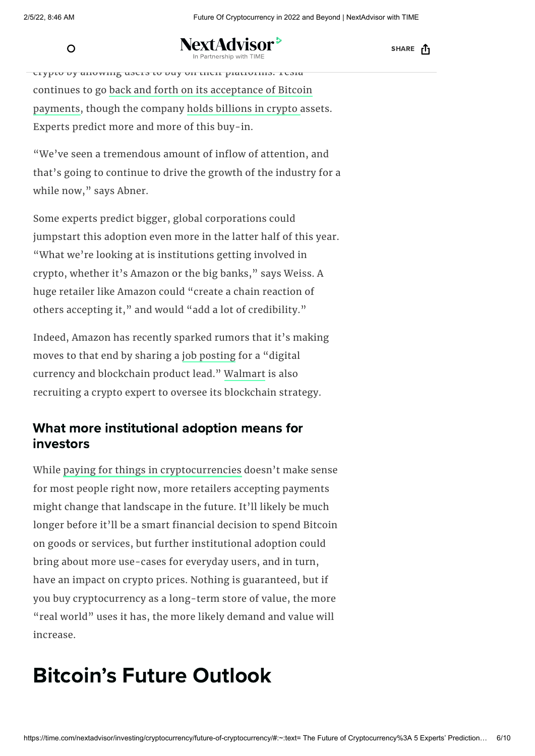**NextAdvisor<sup>></sup>** Figure 2022 - The PayPal and [Squar](https://time.com/nextadvisor/investing/cryptocurrency/should-you-buy-crypto-on-robinhood-venmo-paypal/)[e](https://time.com/nextadvisor/) are also better and Square are also better and Square are also better and Square are also better and Square are also better and Square are also better and Square are also better and Squa

SHARE [1]

crypto by allowing users to buy on their platforms. Tesla continues to go back and forth on its [acceptance](https://www.reuters.com/business/autos-transportation/tesla-will-most-likely-restart-accepting-bitcoin-payments-says-musk-2021-07-21/) of Bitcoin payments, though the company holds [billions](https://www.reuters.com/technology/tesla-shares-lag-bitcoin-plunges-china-crackdown-2021-05-19/) in crypto assets. Experts predict more and more of this buy-in.

"We've seen a tremendous amount of inflow of attention, and that's going to continue to drive the growth of the industry for a while now," says Abner.

Some experts predict bigger, global corporations could jumpstart this adoption even more in the latter half of this year. "What we're looking at is institutions getting involved in crypto, whether it's Amazon or the big banks," says Weiss. A huge retailer like Amazon could "create a chain reaction of others accepting it," and would "add a lot of credibility."

Indeed, Amazon has recently sparked rumors that it's making moves to that end by sharing a job [posting](https://www.amazon.jobs/en/jobs/1644513/digital-currency-and-blockchain-product-lead) for a "digital currency and blockchain product lead." [Walmart](https://www.bloomberg.com/news/articles/2021-08-16/walmart-seeks-a-crypto-expert-to-oversee-digital-currency-push) is also recruiting a crypto expert to oversee its blockchain strategy.

### What more institutional adoption means for investors

While paying for things in [cryptocurrencies](https://time.com/nextadvisor/investing/cryptocurrency/should-you-use-crypto-like-cash/) doesn't make sense for most people right now, more retailers accepting payments might change that landscape in the future. It'll likely be much longer before it'll be a smart financial decision to spend Bitcoin on goods or services, but further institutional adoption could bring about more use-cases for everyday users, and in turn, have an impact on crypto prices. Nothing is guaranteed, but if you buy cryptocurrency as a long-term store of value, the more "real world" uses it has, the more likely demand and value will increase.

## Bitcoin's Future Outlook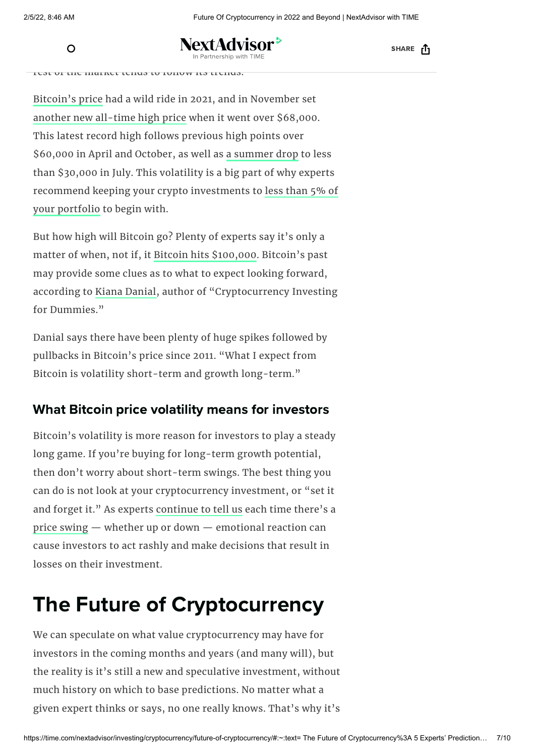NextAdvisor <sup>></sup> because it the largest crypto[currency](https://time.com/nextadvisor/) by mathematic cryptocurrency by mathematic cryptocurrency by mathematic conduction  $\mathbb{R}^n$ 

SHARE <sub>[1</sub>

rest of the market tends to follow its trends.

[Bitcoin's](https://time.com/nextadvisor/investing/cryptocurrency/bitcoin-price-increases/) price had a wild ride in 2021, and in November set another new [all-time](https://time.com/nextadvisor/investing/cryptocurrency/bitcoin-price-increases/) high price when it went over \$68,000. This latest record high follows previous high points over \$60,000 in April and October, as well as a [summer](https://time.com/nextadvisor/investing/cryptocurrency/bitcoin-crash-continues/) drop to less than \$30,000 in July. This volatility is a big part of why experts recommend keeping your crypto [investments](https://time.com/nextadvisor/investing/cryptocurrency/how-much-your-portfolio-should-be-crypto/) to less than 5% of your portfolio to begin with.

But how high will Bitcoin go? Plenty of experts say it's only a matter of when, not if, it Bitcoin hits [\\$100,000.](https://time.com/nextadvisor/investing/cryptocurrency/bitcoin-price-predictions/) Bitcoin's past may provide some clues as to what to expect looking forward, according to Kiana [Danial](https://www.linkedin.com/in/kiana-danial-ceo-48939414/), author of "Cryptocurrency Investing for Dummies."

Danial says there have been plenty of huge spikes followed by pullbacks in Bitcoin's price since 2011. "What I expect from Bitcoin is volatility short-term and growth long-term."

### What Bitcoin price volatility means for investors

Bitcoin's volatility is more reason for investors to play a steady long game. If you're buying for long-term growth potential, then don't worry about short-term swings. The best thing you can do is not look at your cryptocurrency investment, or "set it and forget it." As experts [continue](https://time.com/nextadvisor/investing/cryptocurrency/bitcoin-hits-lowest-price-in-a-month/) to tell us each time there's a price [swing](https://time.com/nextadvisor/investing/cryptocurrency/bitcoin-price-increases/) — whether up or down — emotional reaction can cause investors to act rashly and make decisions that result in losses on their investment.

## The Future of Cryptocurrency

We can speculate on what value cryptocurrency may have for investors in the coming months and years (and many will), but the reality is it's still a new and speculative investment, without much history on which to base predictions. No matter what a given expert thinks or says, no one really knows. That's why it's